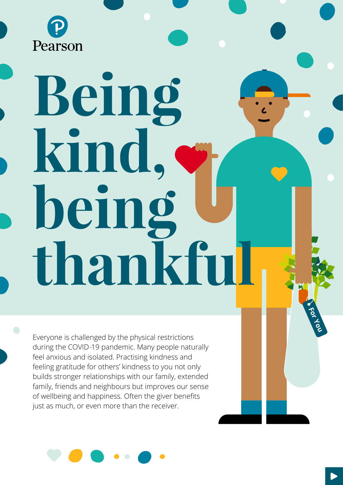

# **Being kind, being thankful**

Everyone is challenged by the physical restrictions during the COVID-19 pandemic. Many people naturally feel anxious and isolated. Practising kindness and feeling gratitude for others' kindness to you not only builds stronger relationships with our family, extended family, friends and neighbours but improves our sense of wellbeing and happiness. Often the giver benefits just as much, or even more than the receiver.



**For You**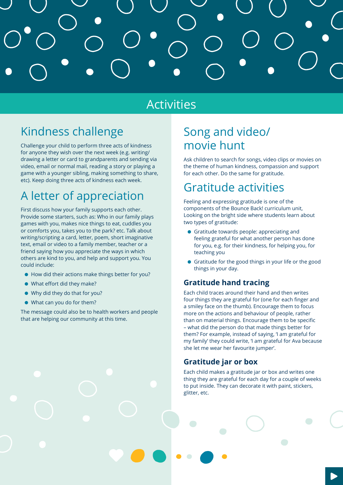

# Activities

# Kindness challenge

Challenge your child to perform three acts of kindness for anyone they wish over the next week (e.g. writing/ drawing a letter or card to grandparents and sending via video, email or normal mail, reading a story or playing a game with a younger sibling, making something to share, etc). Keep doing three acts of kindness each week.

# A letter of appreciation

First discuss how your family supports each other. Provide some starters, such as: Who in our family plays games with you, makes nice things to eat, cuddles you or comforts you, takes you to the park? etc. Talk about writing/scripting a card, letter, poem, short imaginative text, email or video to a family member, teacher or a friend saying how you appreciate the ways in which others are kind to you, and help and support you. You could include:

- How did their actions make things better for you?
- What effort did they make?
- Why did they do that for you?
- What can you do for them?

The message could also be to health workers and people that are helping our community at this time.

# Song and video/ movie hunt

Ask children to search for songs, video clips or movies on the theme of human kindness, compassion and support for each other. Do the same for gratitude.

# Gratitude activities

Feeling and expressing gratitude is one of the components of the Bounce Back! curriculum unit, Looking on the bright side where students learn about two types of gratitude:

- Gratitude towards people: appreciating and feeling grateful for what another person has done for you, e.g. for their kindness, for helping you, for teaching you
- Gratitude for the good things in your life or the good things in your day.

### **Gratitude hand tracing**

Each child traces around their hand and then writes four things they are grateful for (one for each finger and a smiley face on the thumb). Encourage them to focus more on the actions and behaviour of people, rather than on material things. Encourage them to be specific – what did the person do that made things better for them? For example, instead of saying, 'I am grateful for my family' they could write, 'I am grateful for Ava because she let me wear her favourite jumper'.

### **Gratitude jar or box**

Each child makes a gratitude jar or box and writes one thing they are grateful for each day for a couple of weeks to put inside. They can decorate it with paint, stickers, glitter, etc.